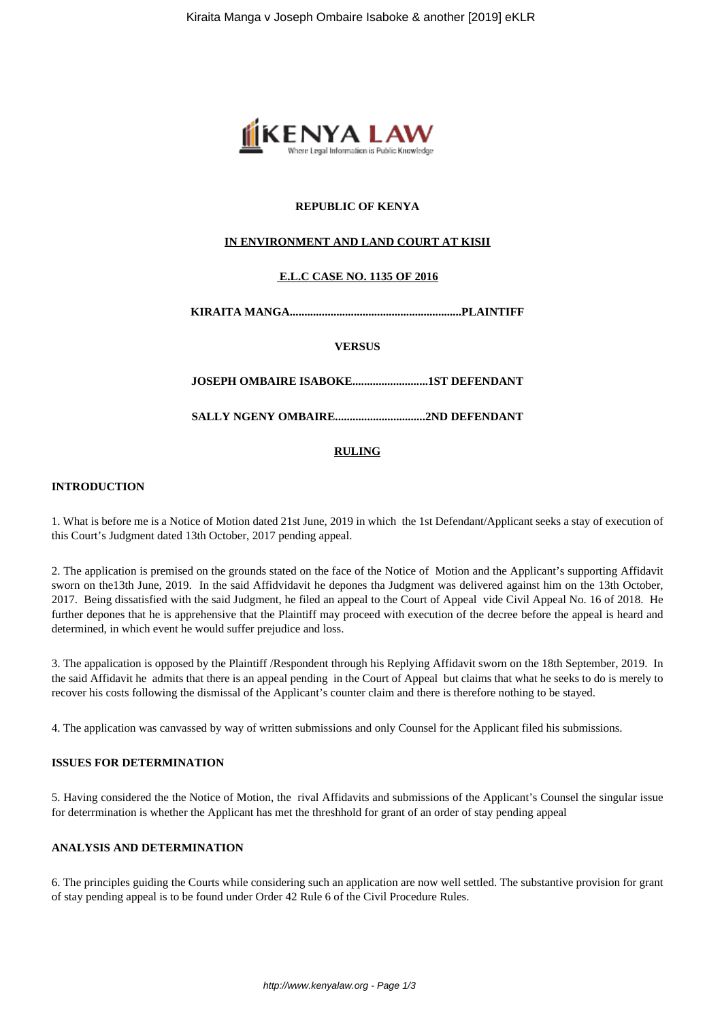

# **REPUBLIC OF KENYA**

# **IN ENVIRONMENT AND LAND COURT AT KISII**

# **E.L.C CASE NO. 1135 OF 2016**

**KIRAITA MANGA...........................................................PLAINTIFF**

**VERSUS**

**JOSEPH OMBAIRE ISABOKE..........................1ST DEFENDANT**

**SALLY NGENY OMBAIRE...............................2ND DEFENDANT**

### **RULING**

### **INTRODUCTION**

1. What is before me is a Notice of Motion dated 21st June, 2019 in which the 1st Defendant/Applicant seeks a stay of execution of this Court's Judgment dated 13th October, 2017 pending appeal.

2. The application is premised on the grounds stated on the face of the Notice of Motion and the Applicant's supporting Affidavit sworn on the13th June, 2019. In the said Affidvidavit he depones tha Judgment was delivered against him on the 13th October, 2017. Being dissatisfied with the said Judgment, he filed an appeal to the Court of Appeal vide Civil Appeal No. 16 of 2018. He further depones that he is apprehensive that the Plaintiff may proceed with execution of the decree before the appeal is heard and determined, in which event he would suffer prejudice and loss.

3. The appalication is opposed by the Plaintiff /Respondent through his Replying Affidavit sworn on the 18th September, 2019. In the said Affidavit he admits that there is an appeal pending in the Court of Appeal but claims that what he seeks to do is merely to recover his costs following the dismissal of the Applicant's counter claim and there is therefore nothing to be stayed.

4. The application was canvassed by way of written submissions and only Counsel for the Applicant filed his submissions.

# **ISSUES FOR DETERMINATION**

5. Having considered the the Notice of Motion, the rival Affidavits and submissions of the Applicant's Counsel the singular issue for deterrmination is whether the Applicant has met the threshhold for grant of an order of stay pending appeal

### **ANALYSIS AND DETERMINATION**

6. The principles guiding the Courts while considering such an application are now well settled. The substantive provision for grant of stay pending appeal is to be found under Order 42 Rule 6 of the Civil Procedure Rules.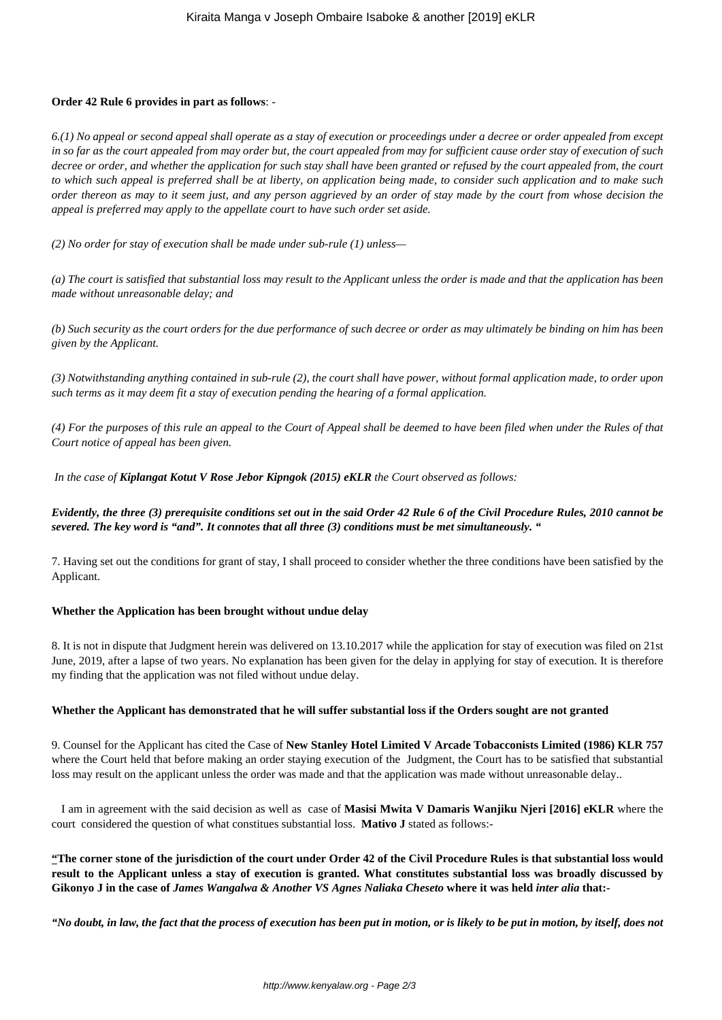### **Order 42 Rule 6 provides in part as follows**: -

*6.(1) No appeal or second appeal shall operate as a stay of execution or proceedings under a decree or order appealed from except in so far as the court appealed from may order but, the court appealed from may for sufficient cause order stay of execution of such decree or order, and whether the application for such stay shall have been granted or refused by the court appealed from, the court to which such appeal is preferred shall be at liberty, on application being made, to consider such application and to make such order thereon as may to it seem just, and any person aggrieved by an order of stay made by the court from whose decision the appeal is preferred may apply to the appellate court to have such order set aside.* 

*(2) No order for stay of execution shall be made under sub-rule (1) unless—* 

*(a) The court is satisfied that substantial loss may result to the Applicant unless the order is made and that the application has been made without unreasonable delay; and* 

*(b) Such security as the court orders for the due performance of such decree or order as may ultimately be binding on him has been given by the Applicant.* 

*(3) Notwithstanding anything contained in sub-rule (2), the court shall have power, without formal application made, to order upon such terms as it may deem fit a stay of execution pending the hearing of a formal application.* 

*(4) For the purposes of this rule an appeal to the Court of Appeal shall be deemed to have been filed when under the Rules of that Court notice of appeal has been given.* 

*In the case of Kiplangat Kotut V Rose Jebor Kipngok (2015) eKLR the Court observed as follows:* 

# *Evidently, the three (3) prerequisite conditions set out in the said Order 42 Rule 6 of the Civil Procedure Rules, 2010 cannot be severed. The key word is "and". It connotes that all three (3) conditions must be met simultaneously. "*

7. Having set out the conditions for grant of stay, I shall proceed to consider whether the three conditions have been satisfied by the Applicant.

### **Whether the Application has been brought without undue delay**

8. It is not in dispute that Judgment herein was delivered on 13.10.2017 while the application for stay of execution was filed on 21st June, 2019, after a lapse of two years. No explanation has been given for the delay in applying for stay of execution. It is therefore my finding that the application was not filed without undue delay.

### **Whether the Applicant has demonstrated that he will suffer substantial loss if the Orders sought are not granted**

9. Counsel for the Applicant has cited the Case of **New Stanley Hotel Limited V Arcade Tobacconists Limited (1986) KLR 757** where the Court held that before making an order staying execution of the Judgment, the Court has to be satisfied that substantial loss may result on the applicant unless the order was made and that the application was made without unreasonable delay..

 I am in agreement with the said decision as well as case of **Masisi Mwita V Damaris Wanjiku Njeri [2016] eKLR** where the court considered the question of what constitues substantial loss. **Mativo J** stated as follows:-

**"The corner stone of the jurisdiction of the court under Order 42 of the Civil Procedure Rules is that substantial loss would result to the Applicant unless a stay of execution is granted. What constitutes substantial loss was broadly discussed by Gikonyo J in the case of** *James Wangalwa & Another VS Agnes Naliaka Cheseto* **where it was held** *inter alia* **that:-**

*"No doubt, in law, the fact that the process of execution has been put in motion, or is likely to be put in motion, by itself, does not*